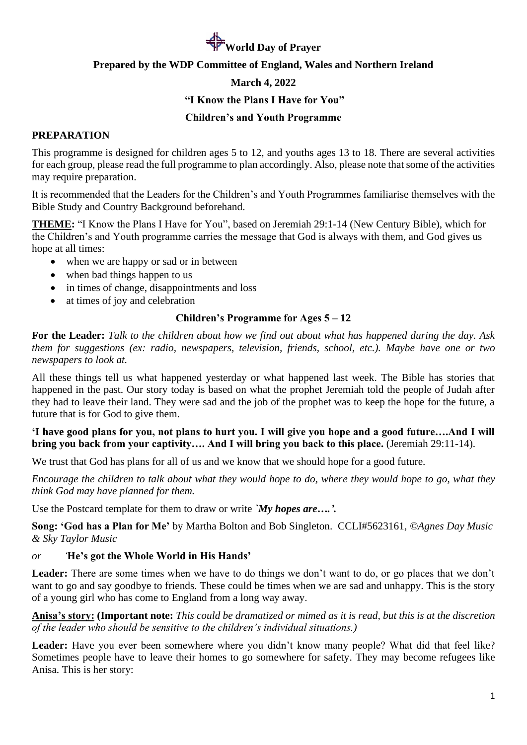# **World Day of Prayer**

#### **Prepared by the WDP Committee of England, Wales and Northern Ireland**

#### **March 4, 2022**

#### **"I Know the Plans I Have for You"**

#### **Children's and Youth Programme**

#### **PREPARATION**

This programme is designed for children ages 5 to 12, and youths ages 13 to 18. There are several activities for each group, please read the full programme to plan accordingly. Also, please note that some of the activities may require preparation.

It is recommended that the Leaders for the Children's and Youth Programmes familiarise themselves with the Bible Study and Country Background beforehand.

**THEME:** "I Know the Plans I Have for You", based on Jeremiah 29:1-14 (New Century Bible), which for the Children's and Youth programme carries the message that God is always with them, and God gives us hope at all times:

- when we are happy or sad or in between
- when bad things happen to us
- in times of change, disappointments and loss
- at times of joy and celebration

#### **Children's Programme for Ages 5 – 12**

**For the Leader:** *Talk to the children about how we find out about what has happened during the day. Ask them for suggestions (ex: radio, newspapers, television, friends, school, etc.). Maybe have one or two newspapers to look at.*

All these things tell us what happened yesterday or what happened last week. The Bible has stories that happened in the past. Our story today is based on what the prophet Jeremiah told the people of Judah after they had to leave their land. They were sad and the job of the prophet was to keep the hope for the future, a future that is for God to give them.

#### **'I have good plans for you, not plans to hurt you. I will give you hope and a good future….And I will bring you back from your captivity…. And I will bring you back to this place.** (Jeremiah 29:11-14).

We trust that God has plans for all of us and we know that we should hope for a good future.

*Encourage the children to talk about what they would hope to do, where they would hope to go, what they think God may have planned for them.*

Use the Postcard template for them to draw or write *`My hopes are….'.*

**Song: 'God has a Plan for Me'** by Martha Bolton and Bob Singleton. CCLI#5623161, *©Agnes Day Music & Sky Taylor Music*

#### *or '***He's got the Whole World in His Hands'**

Leader: There are some times when we have to do things we don't want to do, or go places that we don't want to go and say goodbye to friends. These could be times when we are sad and unhappy. This is the story of a young girl who has come to England from a long way away.

**Anisa's story: (Important note:** *This could be dramatized or mimed as it is read, but this is at the discretion of the leader who should be sensitive to the children's individual situations.)*

Leader: Have you ever been somewhere where you didn't know many people? What did that feel like? Sometimes people have to leave their homes to go somewhere for safety. They may become refugees like Anisa. This is her story: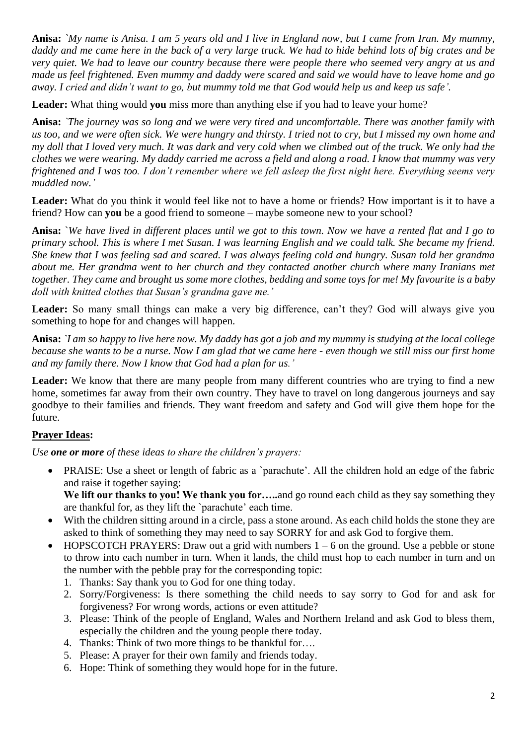**Anisa:** *`My name is Anisa. I am 5 years old and I live in England now, but I came from Iran. My mummy, daddy and me came here in the back of a very large truck. We had to hide behind lots of big crates and be very quiet. We had to leave our country because there were people there who seemed very angry at us and made us feel frightened. Even mummy and daddy were scared and said we would have to leave home and go away. I cried and didn't want to go, but mummy told me that God would help us and keep us safe'.*

**Leader:** What thing would **you** miss more than anything else if you had to leave your home?

**Anisa:** *`The journey was so long and we were very tired and uncomfortable. There was another family with us too, and we were often sick. We were hungry and thirsty. I tried not to cry, but I missed my own home and my doll that I loved very much. It was dark and very cold when we climbed out of the truck. We only had the clothes we were wearing. My daddy carried me across a field and along a road. I know that mummy was very frightened and I was too. I don't remember where we fell asleep the first night here. Everything seems very muddled now.'*

**Leader:** What do you think it would feel like not to have a home or friends? How important is it to have a friend? How can **you** be a good friend to someone – maybe someone new to your school?

**Anisa:** `*We have lived in different places until we got to this town. Now we have a rented flat and I go to primary school. This is where I met Susan. I was learning English and we could talk. She became my friend. She knew that I was feeling sad and scared. I was always feeling cold and hungry. Susan told her grandma about me. Her grandma went to her church and they contacted another church where many Iranians met together. They came and brought us some more clothes, bedding and some toys for me! My favourite is a baby doll with knitted clothes that Susan's grandma gave me.'*

Leader: So many small things can make a very big difference, can't they? God will always give you something to hope for and changes will happen.

**Anisa:** *`I am so happy to live here now. My daddy has got a job and my mummy is studying at the local college because she wants to be a nurse. Now I am glad that we came here - even though we still miss our first home and my family there. Now I know that God had a plan for us.'*

Leader: We know that there are many people from many different countries who are trying to find a new home, sometimes far away from their own country. They have to travel on long dangerous journeys and say goodbye to their families and friends. They want freedom and safety and God will give them hope for the future.

# **Prayer Ideas:**

*Use one or more of these ideas to share the children's prayers:*

• PRAISE: Use a sheet or length of fabric as a 'parachute'. All the children hold an edge of the fabric and raise it together saying:

We lift our thanks to you! We thank you for....and go round each child as they say something they are thankful for, as they lift the `parachute' each time.

- With the children sitting around in a circle, pass a stone around. As each child holds the stone they are asked to think of something they may need to say SORRY for and ask God to forgive them.
- HOPSCOTCH PRAYERS: Draw out a grid with numbers  $1 6$  on the ground. Use a pebble or stone to throw into each number in turn. When it lands, the child must hop to each number in turn and on the number with the pebble pray for the corresponding topic:
	- 1. Thanks: Say thank you to God for one thing today.
	- 2. Sorry/Forgiveness: Is there something the child needs to say sorry to God for and ask for forgiveness? For wrong words, actions or even attitude?
	- 3. Please: Think of the people of England, Wales and Northern Ireland and ask God to bless them, especially the children and the young people there today.
	- 4. Thanks: Think of two more things to be thankful for….
	- 5. Please: A prayer for their own family and friends today.
	- 6. Hope: Think of something they would hope for in the future.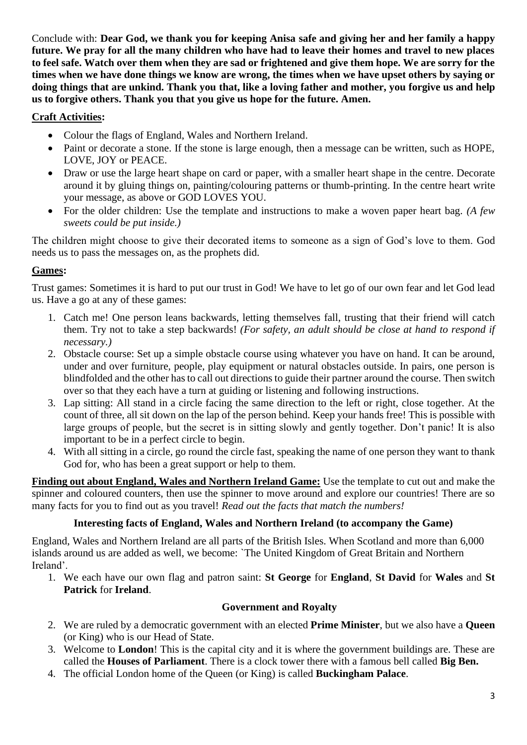Conclude with: **Dear God, we thank you for keeping Anisa safe and giving her and her family a happy future. We pray for all the many children who have had to leave their homes and travel to new places to feel safe. Watch over them when they are sad or frightened and give them hope. We are sorry for the times when we have done things we know are wrong, the times when we have upset others by saying or doing things that are unkind. Thank you that, like a loving father and mother, you forgive us and help us to forgive others. Thank you that you give us hope for the future. Amen.**

# **Craft Activities:**

- Colour the flags of England, Wales and Northern Ireland.
- Paint or decorate a stone. If the stone is large enough, then a message can be written, such as HOPE, LOVE, JOY or PEACE.
- Draw or use the large heart shape on card or paper, with a smaller heart shape in the centre. Decorate around it by gluing things on, painting/colouring patterns or thumb-printing. In the centre heart write your message, as above or GOD LOVES YOU.
- For the older children: Use the template and instructions to make a woven paper heart bag. *(A few sweets could be put inside.)*

The children might choose to give their decorated items to someone as a sign of God's love to them. God needs us to pass the messages on, as the prophets did.

# **Games:**

Trust games: Sometimes it is hard to put our trust in God! We have to let go of our own fear and let God lead us. Have a go at any of these games:

- 1. Catch me! One person leans backwards, letting themselves fall, trusting that their friend will catch them. Try not to take a step backwards! *(For safety, an adult should be close at hand to respond if necessary.)*
- 2. Obstacle course: Set up a simple obstacle course using whatever you have on hand. It can be around, under and over furniture, people, play equipment or natural obstacles outside. In pairs, one person is blindfolded and the other has to call out directions to guide their partner around the course. Then switch over so that they each have a turn at guiding or listening and following instructions.
- 3. Lap sitting: All stand in a circle facing the same direction to the left or right, close together. At the count of three, all sit down on the lap of the person behind. Keep your hands free! This is possible with large groups of people, but the secret is in sitting slowly and gently together. Don't panic! It is also important to be in a perfect circle to begin.
- 4. With all sitting in a circle, go round the circle fast, speaking the name of one person they want to thank God for, who has been a great support or help to them.

**Finding out about England, Wales and Northern Ireland Game:** Use the template to cut out and make the spinner and coloured counters, then use the spinner to move around and explore our countries! There are so many facts for you to find out as you travel! *Read out the facts that match the numbers!*

# **Interesting facts of England, Wales and Northern Ireland (to accompany the Game)**

England, Wales and Northern Ireland are all parts of the British Isles. When Scotland and more than 6,000 islands around us are added as well, we become: `The United Kingdom of Great Britain and Northern Ireland'.

1. We each have our own flag and patron saint: **St George** for **England**, **St David** for **Wales** and **St Patrick** for **Ireland**.

#### **Government and Royalty**

- 2. We are ruled by a democratic government with an elected **Prime Minister**, but we also have a **Queen** (or King) who is our Head of State.
- 3. Welcome to **London**! This is the capital city and it is where the government buildings are. These are called the **Houses of Parliament**. There is a clock tower there with a famous bell called **Big Ben.**
- 4. The official London home of the Queen (or King) is called **Buckingham Palace**.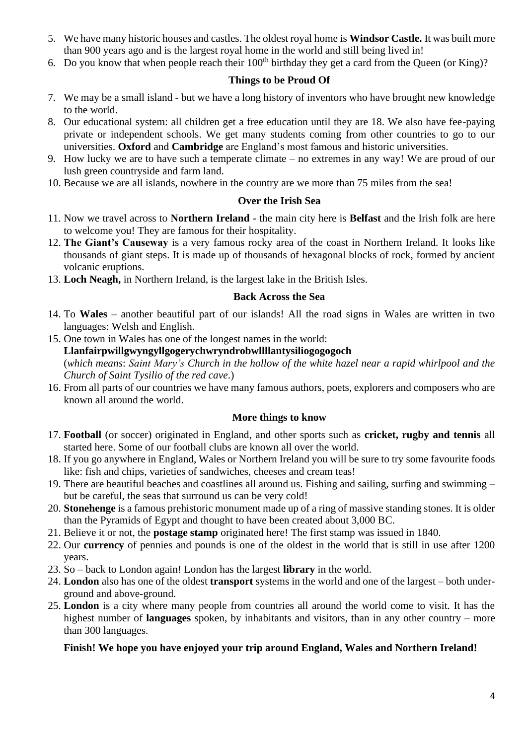- 5. We have many historic houses and castles. The oldest royal home is **Windsor Castle.** It was built more than 900 years ago and is the largest royal home in the world and still being lived in!
- 6. Do you know that when people reach their  $100<sup>th</sup>$  birthday they get a card from the Queen (or King)?

### **Things to be Proud Of**

- 7. We may be a small island but we have a long history of inventors who have brought new knowledge to the world.
- 8. Our educational system: all children get a free education until they are 18. We also have fee-paying private or independent schools. We get many students coming from other countries to go to our universities. **Oxford** and **Cambridge** are England's most famous and historic universities.
- 9. How lucky we are to have such a temperate climate no extremes in any way! We are proud of our lush green countryside and farm land.
- 10. Because we are all islands, nowhere in the country are we more than 75 miles from the sea!

#### **Over the Irish Sea**

- 11. Now we travel across to **Northern Ireland**  the main city here is **Belfast** and the Irish folk are here to welcome you! They are famous for their hospitality.
- 12. **The Giant's Causeway** is a very famous rocky area of the coast in Northern Ireland. It looks like thousands of giant steps. It is made up of thousands of hexagonal blocks of rock, formed by ancient volcanic eruptions.
- 13. **Loch Neagh,** in Northern Ireland, is the largest lake in the British Isles.

### **Back Across the Sea**

- 14. To **Wales**  another beautiful part of our islands! All the road signs in Wales are written in two languages: Welsh and English.
- 15. One town in Wales has one of the longest names in the world: **Llanfairpwillgwyngyllgogerychwryndrobwllllantysiliogogogoch** (*which means*: *Saint Mary's Church in the hollow of the white hazel near a rapid whirlpool and the Church of Saint Tysilio of the red cave*.)
- 16. From all parts of our countries we have many famous authors, poets, explorers and composers who are known all around the world.

# **More things to know**

- 17. **Football** (or soccer) originated in England, and other sports such as **cricket, rugby and tennis** all started here. Some of our football clubs are known all over the world.
- 18. If you go anywhere in England, Wales or Northern Ireland you will be sure to try some favourite foods like: fish and chips, varieties of sandwiches, cheeses and cream teas!
- 19. There are beautiful beaches and coastlines all around us. Fishing and sailing, surfing and swimming but be careful, the seas that surround us can be very cold!
- 20. **Stonehenge** is a famous prehistoric monument made up of a ring of massive standing stones. It is older than the Pyramids of Egypt and thought to have been created about 3,000 BC.
- 21. Believe it or not, the **postage stamp** originated here! The first stamp was issued in 1840.
- 22. Our **currency** of pennies and pounds is one of the oldest in the world that is still in use after 1200 years.
- 23. So back to London again! London has the largest **library** in the world.
- 24. **London** also has one of the oldest **transport** systems in the world and one of the largest both underground and above-ground.
- 25. **London** is a city where many people from countries all around the world come to visit. It has the highest number of **languages** spoken, by inhabitants and visitors, than in any other country – more than 300 languages.

# **Finish! We hope you have enjoyed your trip around England, Wales and Northern Ireland!**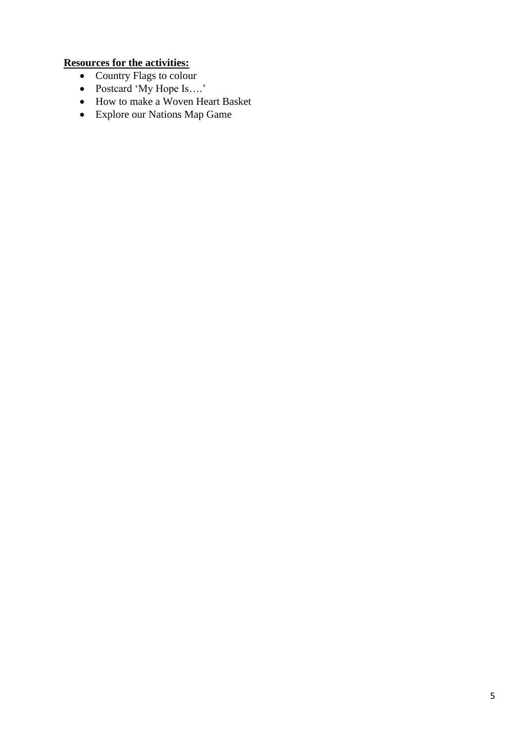#### **Resources for the activities:**

- Country Flags to colour
- Postcard 'My Hope Is….'
- How to make a Woven Heart Basket
- Explore our Nations Map Game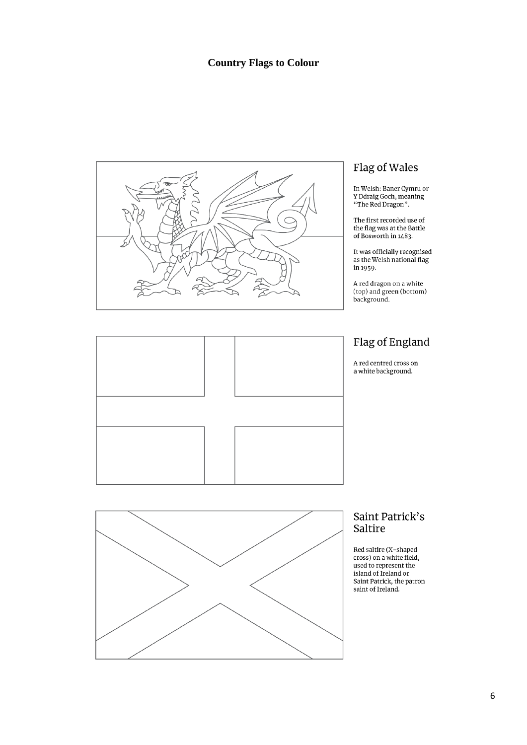### **Country Flags to Colour**



# Flag of Wales

In Welsh: Baner Cymru or<br>Y Ddraig Goch, meaning<br>"The Red Dragon".

The first recorded use of<br>the flag was at the Battle<br>of Bosworth in 1483.

It was officially recognised<br>as the Welsh national flag in 1959.

A red dragon on a white<br>(top) and green (bottom)<br>background.

# Flag of England

A red centred cross on a white background.





#### Saint Patrick's Saltire

Red saltire (X-shaped<br>cross) on a white field,<br>used to represent the island of Ireland or Saint Patrick, the patron saint of Ireland.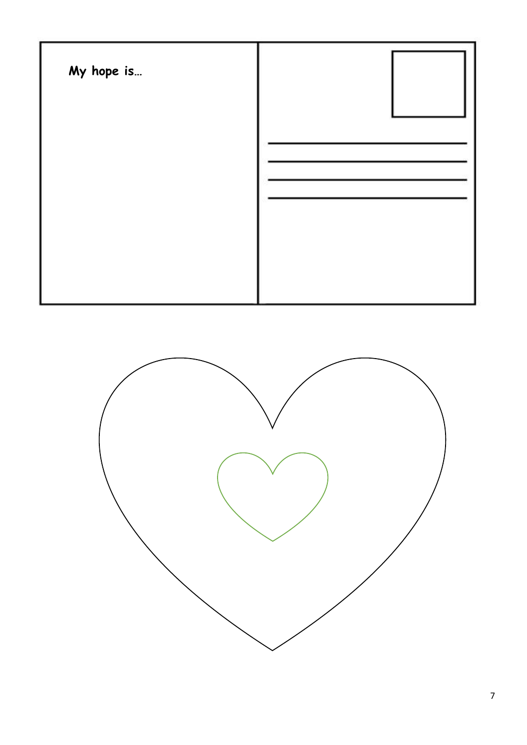

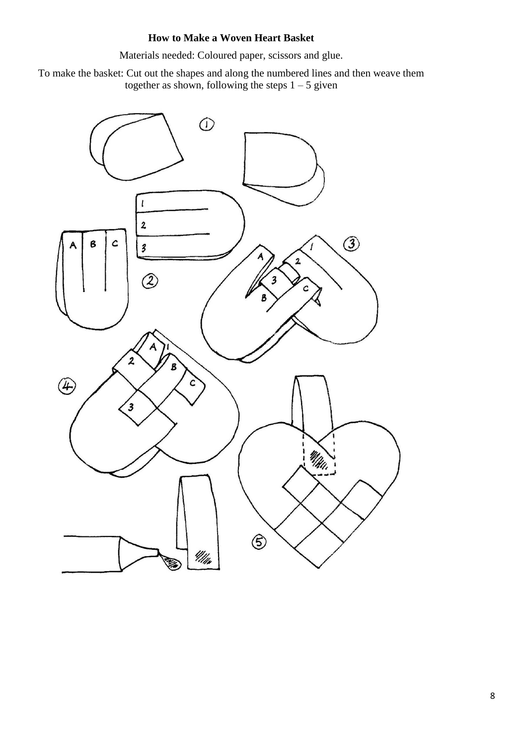# **How to Make a Woven Heart Basket**

Materials needed: Coloured paper, scissors and glue.

To make the basket: Cut out the shapes and along the numbered lines and then weave them together as shown, following the steps  $1 - 5$  given